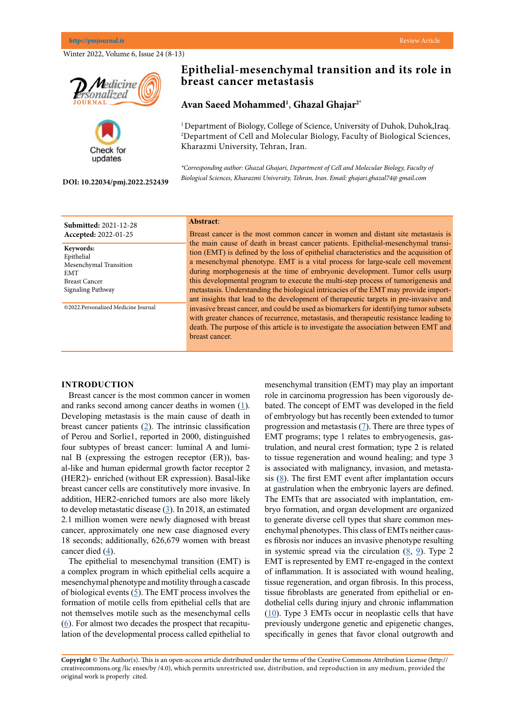Winter 2022, Volume 6, Issue 24 (8-13)





#### **DOI: 10.22034/pmj.2022.252439**

# **Epithelial-mesenchymal transition and its role in breast cancer metastasis**

## **Avan Saeed Mohammed1** , **Ghazal Ghajar2\***

<sup>1</sup> Department of Biology, College of Science, University of Duhok, Duhok, Iraq. 2 Department of Cell and Molecular Biology, Faculty of Biological Sciences, Kharazmi University, Tehran, Iran.

*\*Corresponding author: Ghazal Ghajari, Department of Cell and Molecular Biology, Faculty of Biological Sciences, Kharazmi University, Tehran, Iran. Email: ghajari.ghazal74@ gmail.com*

| <b>Submitted: 2021-12-28</b>                                                                                 | Abstract:                                                                                                                                                                                                                                                                                                                                                                                                                                                                                                                |
|--------------------------------------------------------------------------------------------------------------|--------------------------------------------------------------------------------------------------------------------------------------------------------------------------------------------------------------------------------------------------------------------------------------------------------------------------------------------------------------------------------------------------------------------------------------------------------------------------------------------------------------------------|
| Accepted: 2022-01-25                                                                                         | Breast cancer is the most common cancer in women and distant site metastasis is                                                                                                                                                                                                                                                                                                                                                                                                                                          |
| Keywords:<br>Epithelial<br>Mesenchymal Transition<br><b>EMT</b><br><b>Breast Cancer</b><br>Signaling Pathway | the main cause of death in breast cancer patients. Epithelial-mesenchymal transi-<br>tion (EMT) is defined by the loss of epithelial characteristics and the acquisition of<br>a mesenchymal phenotype. EMT is a vital process for large-scale cell movement<br>during morphogenesis at the time of embryonic development. Tumor cells usurp<br>this developmental program to execute the multi-step process of tumorigenesis and<br>metastasis. Understanding the biological intricacies of the EMT may provide import- |
|                                                                                                              | ant insights that lead to the development of therapeutic targets in pre-invasive and                                                                                                                                                                                                                                                                                                                                                                                                                                     |
| ©2022.Personalized Medicine Journal                                                                          | invasive breast cancer, and could be used as biomarkers for identifying tumor subsets                                                                                                                                                                                                                                                                                                                                                                                                                                    |
|                                                                                                              | with greater chances of recurrence, metastasis, and therapeutic resistance leading to                                                                                                                                                                                                                                                                                                                                                                                                                                    |
|                                                                                                              | death. The purpose of this article is to investigate the association between EMT and                                                                                                                                                                                                                                                                                                                                                                                                                                     |
|                                                                                                              | breast cancer.                                                                                                                                                                                                                                                                                                                                                                                                                                                                                                           |

## **INTRODUCTION**

Breast cancer is the most common cancer in women and ranks second among cancer deaths in women  $(1)$  $(1)$ . Developing metastasis is the main cause of death in breast cancer patients  $(2)$  $(2)$  $(2)$ . The intrinsic classification of Perou and Sorlie1, reported in 2000, distinguished four subtypes of breast cancer: luminal A and luminal B (expressing the estrogen receptor (ER)), basal-like and human epidermal growth factor receptor 2 (HER2)- enriched (without ER expression). Basal-like breast cancer cells are constitutively more invasive. In addition, HER2-enriched tumors are also more likely to develop metastatic disease [\(3](Britt KL, Cuzick J, Phillips KA. Key steps for effective breast cancer prevention. Nature Reviews Cancer. 2020 Aug;20(8):417-36.
)). In 2018, an estimated 2.1 million women were newly diagnosed with breast cancer, approximately one new case diagnosed every 18 seconds; additionally, 626,679 women with breast cancer died [\(4](Creighton CJ, Chang JC, Rosen JM. Epithelial-mesenchymal transition (EMT) in tumor-initiating cells and its clinical implications in breast cancer. Journal of mammary gland biology and neoplasia. 2010 Jun;15(2):253-60.
)).

The epithelial to mesenchymal transition (EMT) is a complex program in which epithelial cells acquire a mesenchymal phenotype and motility through a cascade of biological events ([5\)](http://Gyamfi J, Lee YH, Eom M, Choi J. Interleukin-6/STAT3 signalling regulates adipocyte induced epithelial-mesenchymal transition in breast cancer cells. Scientific reports. 2018 Jun 11;8(1):1-3.
). The EMT process involves the formation of motile cells from epithelial cells that are not themselves motile such as the mesenchymal cells [\(6](Fenizia C, Bottino C, Corbetta S, Fittipaldi R, Floris P, Gaudenzi G, Carra S, Cotelli F, Vitale G, Caretti G. SMYD3 promotes the epithelial–mesenchymal transition in breast cancer. Nucleic acids research. 2019 Feb 20;47(3):1278-93.
)). For almost two decades the prospect that recapitulation of the developmental process called epithelial to mesenchymal transition (EMT) may play an important role in carcinoma progression has been vigorously debated. The concept of EMT was developed in the field of embryology but has recently been extended to tumor progression and metastasis [\(7](Olea-Flores M, Juárez-Cruz JC, Mendoza-Catalán MA, Padilla-Benavides T, Navarro-Tito N. Signaling pathways induced by leptin during epithelial–mesenchymal transition in breast cancer. International journal of molecular sciences. 2018 Nov;19(11):3493)). There are three types of EMT programs; type 1 relates to embryogenesis, gastrulation, and neural crest formation; type 2 is related to tissue regeneration and wound healing; and type 3 is associated with malignancy, invasion, and metastasis [\(8](Scimeca M, Antonacci C, Colombo D, Bonfiglio R, Buonomo OC, Bonanno E. Emerging prognostic markers related to mesenchymal characteristics of poorly differentiated breast cancers. Tumor Biology. 2016 Apr;37(4):5427-35.
)). The first EMT event after implantation occurs at gastrulation when the embryonic layers are defined. The EMTs that are associated with implantation, embryo formation, and organ development are organized to generate diverse cell types that share common mesenchymal phenotypes. This class of EMTs neither causes fibrosis nor induces an invasive phenotype resulting in systemic spread via the circulation [\(8](Scimeca M, Antonacci C, Colombo D, Bonfiglio R, Buonomo OC, Bonanno E. Emerging prognostic markers related to mesenchymal characteristics of poorly differentiated breast cancers. Tumor Biology. 2016 Apr;37(4):5427-35.
), [9\)](http://ang F, Takagaki Y, Yoshitomi Y, Ikeda T, Li J, Kitada M, Kumagai A, Kawakita E, Shi S, Kanasaki K, Koya D. Inhibition of dipeptidyl peptidase-4 accelerates epithelial–mesenchymal transition and breast cancer metastasis via the CXCL12/CXCR4/mTOR axis. Cancer research. 2019 Feb 15;79(4):735-46.
). Type 2 EMT is represented by EMT re-engaged in the context of inflammation. It is associated with wound healing, tissue regeneration, and organ fibrosis. In this process, tissue fibroblasts are generated from epithelial or endothelial cells during injury and chronic inflammation [\(10](Sethi S, Sarkar FH, Ahmed Q, Bandyopadhyay S, Nahleh ZA, Semaan A, Sakr W, Munkarah A, Ali-Fehmi R. Molecular markers of epithelial-to-mesenchymal transition are associated with tumor aggressiveness in breast carcinoma. Translational Oncology. 2011 Aug 1;4(4):222-6.
)). Type 3 EMTs occur in neoplastic cells that have previously undergone genetic and epigenetic changes, specifically in genes that favor clonal outgrowth and

**Copyright** © The Author(s). This is an open-access article distributed under the terms of the Creative Commons Attribution License (http:// creativecommons.org /lic enses/by /4.0), which permits unrestricted use, distribution, and reproduction in any medium, provided the original work is properly cited.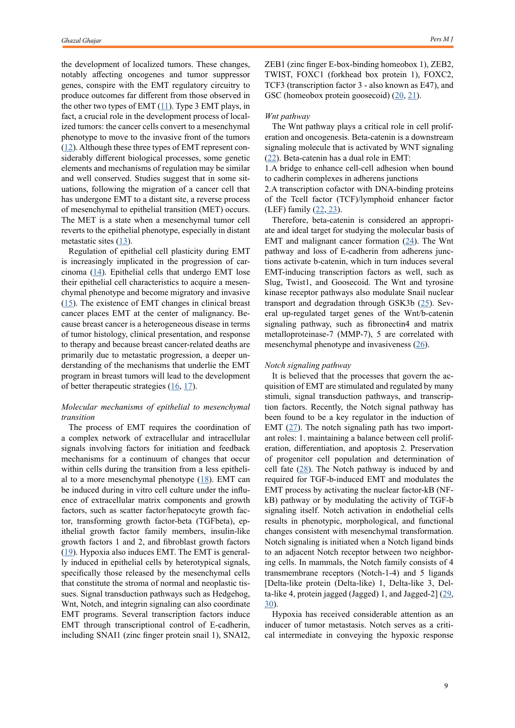the development of localized tumors. These changes, notably affecting oncogenes and tumor suppressor genes, conspire with the EMT regulatory circuitry to produce outcomes far different from those observed in the other two types of EMT  $(11)$  $(11)$  $(11)$ . Type 3 EMT plays, in fact, a crucial role in the development process of localized tumors: the cancer cells convert to a mesenchymal phenotype to move to the invasive front of the tumors [\(12](http://Zhang N, Zhang H, Liu Y, Su P, Zhang J, Wang X, Sun M, Chen B, Zhao W, Wang L, Wang H. SREBP1, targeted by miR-18a-5p, modulates epithelial-mesenchymal transition in breast cancer via forming a co-repressor complex with Snail and HDAC1/2. Cell Death & Differentiation. 2019 May;26(5):843-59.
)). Although these three types of EMT represent considerably different biological processes, some genetic elements and mechanisms of regulation may be similar and well conserved. Studies suggest that in some situations, following the migration of a cancer cell that has undergone EMT to a distant site, a reverse process of mesenchymal to epithelial transition (MET) occurs. The MET is a state when a mesenchymal tumor cell reverts to the epithelial phenotype, especially in distant metastatic sites  $(13)$  $(13)$ .

Regulation of epithelial cell plasticity during EMT is increasingly implicated in the progression of carcinoma  $(14)$  $(14)$ . Epithelial cells that undergo EMT lose their epithelial cell characteristics to acquire a mesenchymal phenotype and become migratory and invasive  $(15)$  $(15)$ . The existence of EMT changes in clinical breast cancer places EMT at the center of malignancy. Because breast cancer is a heterogeneous disease in terms of tumor histology, clinical presentation, and response to therapy and because breast cancer-related deaths are primarily due to metastatic progression, a deeper understanding of the mechanisms that underlie the EMT program in breast tumors will lead to the development of better therapeutic strategies [\(16](Kalluri R, Weinberg RA. The basics of epithelial-mesenchymal transition. The Journal of clinical investigation. 2009 Jun 1;119(6):1420-8.
), [17](He X, Xue M, Jiang S, Li W, Yu J, Xiang S. Fucoidan promotes apoptosis and inhibits emt of breast cancer cells. Biological and Pharmaceutical Bulletin. 2019 Mar 1;42(3):442-7.
)).

## *Molecular mechanisms of epithelial to mesenchymal transition*

The process of EMT requires the coordination of a complex network of extracellular and intracellular signals involving factors for initiation and feedback mechanisms for a continuum of changes that occur within cells during the transition from a less epithelial to a more mesenchymal phenotype  $(18)$  $(18)$ . EMT can be induced during in vitro cell culture under the influence of extracellular matrix components and growth factors, such as scatter factor/hepatocyte growth factor, transforming growth factor-beta (TGFbeta), epithelial growth factor family members, insulin-like growth factors 1 and 2, and fibroblast growth factors [\(19](Ye X, Brabletz T, Kang Y, Longmore GD, Nieto MA, Stanger BZ, Yang J, Weinberg RA. Upholding a role for EMT in breast cancer metastasis. Nature. 2017 Jul;547(7661):E1-3.)). Hypoxia also induces EMT. The EMT is generally induced in epithelial cells by heterotypical signals, specifically those released by the mesenchymal cells that constitute the stroma of normal and neoplastic tissues. Signal transduction pathways such as Hedgehog, Wnt, Notch, and integrin signaling can also coordinate EMT programs. Several transcription factors induce EMT through transcriptional control of E-cadherin, including SNAI1 (zinc finger protein snail 1), SNAI2,

ZEB1 (zinc finger E-box-binding homeobox 1), ZEB2, TWIST, FOXC1 (forkhead box protein 1), FOXC2, TCF3 (transcription factor 3 - also known as E47), and GSC (homeobox protein goosecoid) ([20,](Pires BR, Mencalha AL, Ferreira GM, de Souza WF, Morgado-Díaz JA, Maia AM, Corrêa S, Abdelhay ES. NF-kappaB is involved in the regulation of EMT genes in breast cancer cells. PloS one. 2017 Jan 20;12(1):e0169622.
) [21\)](Neelakantan D, Zhou H, Oliphant MU, Zhang X, Simon LM, Henke DM, Shaw CA, Wu MF, Hilsenbeck SG, White LD, Lewis MT. EMT cells increase breast cancer metastasis via paracrine GLI activation in neighbouring tumour cells. Nature communications. 2017 Jun 12;8(1):1-4.
).

## *Wnt pathway*

The Wnt pathway plays a critical role in cell proliferation and oncogenesis. Beta-catenin is a downstream signaling molecule that is activated by WNT signaling [\(22](Fuxe J, Vincent T, Garcia de Herreros A. Transcriptional crosstalk between TGFβ and stem cell pathways in tumor cell invasion: role of EMT promoting Smad complexes. Cell cycle. 2010 Jun 15;9(12):2363-74.)). Beta-catenin has a dual role in EMT:

1.A bridge to enhance cell-cell adhesion when bound to cadherin complexes in adherens junctions

2.A transcription cofactor with DNA-binding proteins of the Tcell factor (TCF)/lymphoid enhancer factor (LEF) family [\(22](Fuxe J, Vincent T, Garcia de Herreros A. Transcriptional crosstalk between TGFβ and stem cell pathways in tumor cell invasion: role of EMT promoting Smad complexes. Cell cycle. 2010 Jun 15;9(12):2363-74.), [23](He X, Xue M, Jiang S, Li W, Yu J, Xiang S. Fucoidan promotes apoptosis and inhibits emt of breast cancer cells. Biological and Pharmaceutical Bulletin. 2019 Mar 1;42(3):442-7.
)).

Therefore, beta-catenin is considered an appropriate and ideal target for studying the molecular basis of EMT and malignant cancer formation  $(24)$  $(24)$ . The Wnt pathway and loss of E-cadherin from adherens junctions activate b-catenin, which in turn induces several EMT-inducing transcription factors as well, such as Slug, Twist1, and Goosecoid. The Wnt and tyrosine kinase receptor pathways also modulate Snail nuclear transport and degradation through GSK3b ([25\)](Hu T, Li C. Convergence between Wnt-β-catenin and EGFR signaling in cancer. Molecular cancer. 2010 Dec;9(1):1-7.
). Several up-regulated target genes of the Wnt/b-catenin signaling pathway, such as fibronectin4 and matrix metalloproteinase-7 (MMP-7), 5 are correlated with mesenchymal phenotype and invasiveness [\(26](Lourenco AR, Ban Y, Crowley MJ, Lee SB, Ramchandani D, Du W, Elemento O, George JT, Jolly MK, Levine H, Sheng J. Differential contributions of pre-and post-EMT tumor cells in breast cancer metastasis. Cancer research. 2020 Jan 15;80(2):163-9.)).

#### *Notch signaling pathway*

It is believed that the processes that govern the acquisition of EMT are stimulated and regulated by many stimuli, signal transduction pathways, and transcription factors. Recently, the Notch signal pathway has been found to be a key regulator in the induction of EMT  $(27)$  $(27)$ . The notch signaling path has two important roles: 1. maintaining a balance between cell proliferation, differentiation, and apoptosis 2. Preservation of progenitor cell population and determination of cell fate  $(28)$  $(28)$ . The Notch pathway is induced by and required for TGF-b-induced EMT and modulates the EMT process by activating the nuclear factor-kB (NFkB) pathway or by modulating the activity of TGF-b signaling itself. Notch activation in endothelial cells results in phenotypic, morphological, and functional changes consistent with mesenchymal transformation. Notch signaling is initiated when a Notch ligand binds to an adjacent Notch receptor between two neighboring cells. In mammals, the Notch family consists of 4 transmembrane receptors (Notch-1-4) and 5 ligands [Delta-like protein (Delta-like) 1, Delta-like 3, Delta-like 4, protein jagged (Jagged) 1, and Jagged-2] ([29,](Shao S, Zhao X, Zhang X, Luo M, Zuo X, Huang S, Wang Y, Gu S, Zhao X. Notch1 signaling regulates the epithelial–mesenchymal transition and invasion of breast cancer in a Slug-dependent manner. Molecular cancer. 2015 Dec;14(1):1-7.) [30](Suman S, Das TP, Damodaran C. Silencing NOTCH signaling causes growth arrest in both breast cancer stem cells and breast cancer cells. British journal of cancer. 2013 Nov;109(10):2587-96.
)).

Hypoxia has received considerable attention as an inducer of tumor metastasis. Notch serves as a critical intermediate in conveying the hypoxic response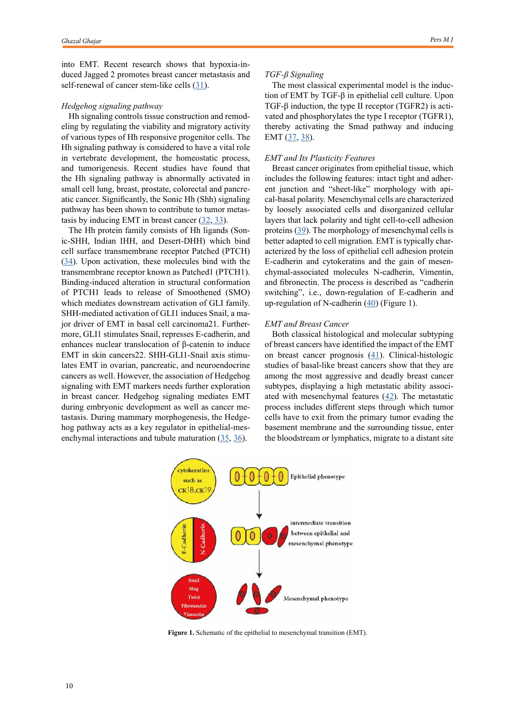into EMT. Recent research shows that hypoxia-induced Jagged 2 promotes breast cancer metastasis and self-renewal of cancer stem-like cells [\(31](Hui M, Cazet A, Nair R, Watkins DN, O’Toole SA, Swarbrick A. The Hedgehog signalling pathway in breast development, carcinogenesis and cancer therapy. Breast Cancer Research. 2013 Apr;15(2):1-4.
)).

#### *Hedgehog signaling pathway*

Hh signaling controls tissue construction and remodeling by regulating the viability and migratory activity of various types of Hh responsive progenitor cells. The Hh signaling pathway is considered to have a vital role in vertebrate development, the homeostatic process, and tumorigenesis. Recent studies have found that the Hh signaling pathway is abnormally activated in small cell lung, breast, prostate, colorectal and pancreatic cancer. Significantly, the Sonic Hh (Shh) signaling pathway has been shown to contribute to tumor metastasis by inducing EMT in breast cancer  $(32, 33)$  $(32, 33)$  $(32, 33)$  $(32, 33)$ .

The Hh protein family consists of Hh ligands (Sonic-SHH, Indian IHH, and Desert-DHH) which bind cell surface transmembrane receptor Patched (PTCH) [\(34](Maroufi NF, Amiri M, Dizaji BF, Vahedian V, Akbarzadeh M, Roshanravan N, Haiaty S, Nouri M, Rashidi MR. Inhibitory effect of melatonin on hypoxia-induced vasculogenic mimicry via suppressing epithelial-mesenchymal transition (EMT) in breast cancer stem cells. European Journal of Pharmacology. 2020 Aug 15;881:173282.
)). Upon activation, these molecules bind with the transmembrane receptor known as Patched1 (PTCH1). Binding-induced alteration in structural conformation of PTCH1 leads to release of Smoothened (SMO) which mediates downstream activation of GLI family. SHH-mediated activation of GLI1 induces Snail, a major driver of EMT in basal cell carcinoma21. Furthermore, GLI1 stimulates Snail, represses E-cadherin, and enhances nuclear translocation of β-catenin to induce EMT in skin cancers22. SHH-GLI1-Snail axis stimulates EMT in ovarian, pancreatic, and neuroendocrine cancers as well. However, the association of Hedgehog signaling with EMT markers needs further exploration in breast cancer. Hedgehog signaling mediates EMT during embryonic development as well as cancer metastasis. During mammary morphogenesis, the Hedgehog pathway acts as a key regulator in epithelial-mesenchymal interactions and tubule maturation [\(35,](Yin S, Cheryan VT, Xu L, Rishi AK, Reddy KB. Myc mediates cancer stem-like cells and EMT changes in triple negative breast cancers cells. PloS one. 2017 Aug 17;12(8):e0183578.) [36\)](Feng XH, Derynck R. Specificity and versatility in TGF-β signaling through Smads. Annu. Rev. Cell Dev. Biol.. 2005 Nov 10;21:659-93.
).

#### *TGF-β Signaling*

The most classical experimental model is the induction of EMT by TGF-β in epithelial cell culture. Upon TGF-β induction, the type II receptor (TGFR2) is activated and phosphorylates the type I receptor (TGFR1), thereby activating the Smad pathway and inducing EMT ([37,](Feng XH, Derynck R. Specificity and versatility in TGF-β signaling through Smads. Annu. Rev. Cell Dev. Biol.. 2005 Nov 10;21:659-93.
) [38\)](Drago-García D, Espinal-Enríquez J, Hernández-Lemus E. Network analysis of EMT and MET micro-RNA regulation in breast cancer. Scientific reports. 2017 Oct 19;7(1):1-7.
).

## *EMT and Its Plasticity Features*

Breast cancer originates from epithelial tissue, which includes the following features: intact tight and adherent junction and "sheet-like" morphology with apical-basal polarity. Mesenchymal cells are characterized by loosely associated cells and disorganized cellular layers that lack polarity and tight cell-to-cell adhesion proteins ([39\)](Wu HT, Zhong HT, Li GW, Shen JX, Ye QQ, Zhang ML, Liu J. Oncogenic functions of the EMT-related transcription factor ZEB1 in breast cancer. Journal of translational medicine. 2020 Dec;18(1):1-0). The morphology of mesenchymal cells is better adapted to cell migration. EMT is typically characterized by the loss of epithelial cell adhesion protein E-cadherin and cytokeratins and the gain of mesenchymal-associated molecules N-cadherin, Vimentin, and fibronectin. The process is described as "cadherin switching", i.e., down-regulation of E-cadherin and up-regulation of N-cadherin  $(40)$  $(40)$  (Figure 1).

#### *EMT and Breast Cancer*

Both classical histological and molecular subtyping of breast cancers have identified the impact of the EMT on breast cancer prognosis ([41\)](Micalizzi DS, Ford HL. Epithelial–mesenchymal transition in development and cancer. Future oncology. 2009 Oct;5(8):1129-43.
). Clinical-histologic studies of basal-like breast cancers show that they are among the most aggressive and deadly breast cancer subtypes, displaying a high metastatic ability associated with mesenchymal features  $(42)$  $(42)$ . The metastatic process includes different steps through which tumor cells have to exit from the primary tumor evading the basement membrane and the surrounding tissue, enter the bloodstream or lymphatics, migrate to a distant site



**Figure 1.** Schematic of the epithelial to mesenchymal transition (EMT).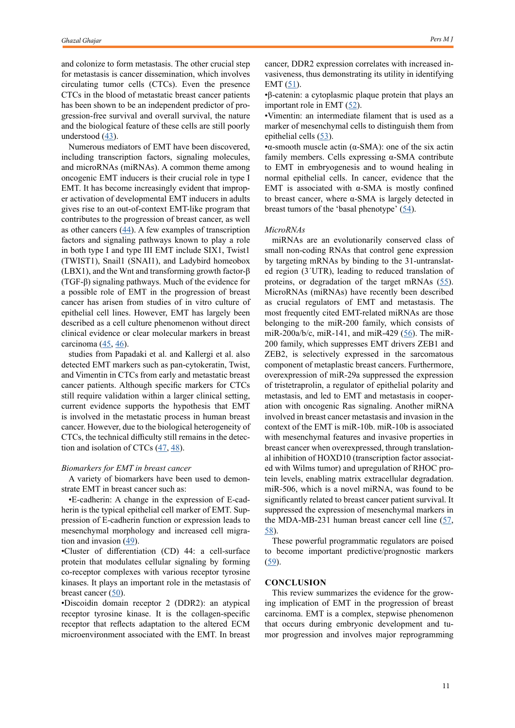and colonize to form metastasis. The other crucial step for metastasis is cancer dissemination, which involves circulating tumor cells (CTCs). Even the presence CTCs in the blood of metastatic breast cancer patients has been shown to be an independent predictor of progression-free survival and overall survival, the nature and the biological feature of these cells are still poorly understood  $(43)$  $(43)$ .

Numerous mediators of EMT have been discovered, including transcription factors, signaling molecules, and microRNAs (miRNAs). A common theme among oncogenic EMT inducers is their crucial role in type I EMT. It has become increasingly evident that improper activation of developmental EMT inducers in adults gives rise to an out-of-context EMT-like program that contributes to the progression of breast cancer, as well as other cancers  $(44)$  $(44)$ . A few examples of transcription factors and signaling pathways known to play a role in both type I and type III EMT include SIX1, Twist1 (TWIST1), Snail1 (SNAI1), and Ladybird homeobox (LBX1), and the Wnt and transforming growth factor-β (TGF-β) signaling pathways. Much of the evidence for a possible role of EMT in the progression of breast cancer has arisen from studies of in vitro culture of epithelial cell lines. However, EMT has largely been described as a cell culture phenomenon without direct clinical evidence or clear molecular markers in breast carcinoma  $(45, 46)$  $(45, 46)$  $(45, 46)$  $(45, 46)$ .

studies from Papadaki et al. and Kallergi et al. also detected EMT markers such as pan‐cytokeratin, Twist, and Vimentin in CTCs from early and metastatic breast cancer patients. Although specific markers for CTCs still require validation within a larger clinical setting, current evidence supports the hypothesis that EMT is involved in the metastatic process in human breast cancer. However, due to the biological heterogeneity of CTCs, the technical difficulty still remains in the detection and isolation of CTCs  $(47, 48)$  $(47, 48)$  $(47, 48)$  $(47, 48)$ .

#### *Biomarkers for EMT in breast cancer*

A variety of biomarkers have been used to demonstrate EMT in breast cancer such as:

•E-cadherin: A change in the expression of E-cadherin is the typical epithelial cell marker of EMT. Suppression of E-cadherin function or expression leads to mesenchymal morphology and increased cell migration and invasion ([49\)](Brown RL, Reinke LM, Damerow MS, Perez D, Chodosh LA, Yang J, Cheng C. CD44 splice isoform switching in human and mouse epithelium is essential for epithelial-mesenchymal transition and breast cancer progression. The Journal of clinical investigation. 2011 Mar 1;121(3):1064-74.
).

•Cluster of differentiation (CD) 44: a cell‑surface protein that modulates cellular signaling by forming co-receptor complexes with various receptor tyrosine kinases. It plays an important role in the metastasis of breast cancer  $(50)$  $(50)$ .

•Discoidin domain receptor 2 (DDR2): an atypical receptor tyrosine kinase. It is the collagen-specific receptor that reflects adaptation to the altered ECM microenvironment associated with the EMT. In breast cancer, DDR2 expression correlates with increased invasiveness, thus demonstrating its utility in identifying EMT ([51\)](Zeisberg M, Neilson EG. Biomarkers for epithelial-mesenchymal transitions. The Journal of clinical investigation. 2009 Jun 1;119(6):1429-37.).

•β‑catenin: a cytoplasmic plaque protein that plays an important role in EMT  $(52)$  $(52)$ .

•Vimentin: an intermediate filament that is used as a marker of mesenchymal cells to distinguish them from epithelial cells [\(53](Khaled N, Bidet Y. New insights into the implication of epigenetic alterations in the EMT of triple negative breast cancer. Cancers. 2019 Apr;11(4):559.
)).

•α-smooth muscle actin ( $\alpha$ -SMA): one of the six actin family members. Cells expressing α‑SMA contribute to EMT in embryogenesis and to wound healing in normal epithelial cells. In cancer, evidence that the EMT is associated with  $α$ -SMA is mostly confined to breast cancer, where α‑SMA is largely detected in breast tumors of the 'basal phenotype'  $(54)$  $(54)$ .

#### *MicroRNAs*

miRNAs are an evolutionarily conserved class of small non-coding RNAs that control gene expression by targeting mRNAs by binding to the 31-untranslated region (3´UTR), leading to reduced translation of proteins, or degradation of the target mRNAs ([55\)](Creighton CJ, Gibbons DL, Kurie JM. The role of epithelial–mesenchymal transition programming in invasion and metastasis: a clinical perspective. Cancer management and research. 2013;5:187.
). MicroRNAs (miRNAs) have recently been described as crucial regulators of EMT and metastasis. The most frequently cited EMT-related miRNAs are those belonging to the miR-200 family, which consists of miR-200a/b/c, miR-141, and miR-429 ( $\frac{56}{50}$ ). The miR-200 family, which suppresses EMT drivers ZEB1 and ZEB2, is selectively expressed in the sarcomatous component of metaplastic breast cancers. Furthermore, overexpression of miR-29a suppressed the expression of tristetraprolin, a regulator of epithelial polarity and metastasis, and led to EMT and metastasis in cooperation with oncogenic Ras signaling. Another miRNA involved in breast cancer metastasis and invasion in the context of the EMT is miR-10b. miR-10b is associated with mesenchymal features and invasive properties in breast cancer when overexpressed, through translational inhibition of HOXD10 (transcription factor associated with Wilms tumor) and upregulation of RHOC protein levels, enabling matrix extracellular degradation. miR-506, which is a novel miRNA, was found to be significantly related to breast cancer patient survival. It suppressed the expression of mesenchymal markers in the MDA-MB-231 human breast cancer cell line  $(57, 57)$  $(57, 57)$  $(57, 57)$ [58](Xiang Y, Liao XH, Yu CX, Yao A, Qin H, Li JP, Hu P, Li H, Guo W, Gu CJ, Zhang TC. MiR-93-5p inhibits the EMT of breast cancer cells via targeting MKL-1 and STAT3. Experimental cell research. 2017 Aug 1;357(1):135-44.
)).

These powerful programmatic regulators are poised to become important predictive/prognostic markers  $(59)$  $(59)$ .

## **CONCLUSION**

This review summarizes the evidence for the growing implication of EMT in the progression of breast carcinoma. EMT is a complex, stepwise phenomenon that occurs during embryonic development and tumor progression and involves major reprogramming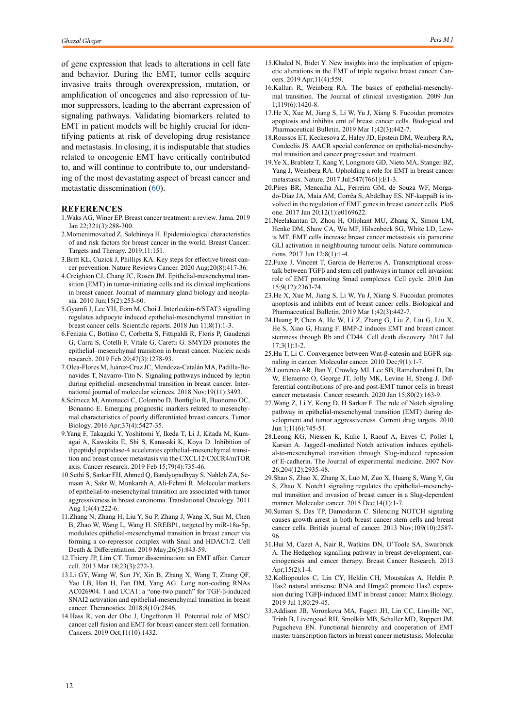of gene expression that leads to alterations in cell fate and behavior. During the EMT, tumor cells acquire invasive traits through overexpression, mutation, or amplification of oncogenes and also repression of tumor suppressors, leading to the aberrant expression of signaling pathways. Validating biomarkers related to EMT in patient models will be highly crucial for identifying patients at risk of developing drug resistance and metastasis. In closing, it is indisputable that studies related to oncogenic EMT have critically contributed to, and will continue to contribute to, our understanding of the most devastating aspect of breast cancer and metastatic dissemination  $(60)$  $(60)$ .

### **REFERENCES**

- 1.Waks AG, Winer EP. Breast cancer treatment: a review. Jama. 2019 Jan 22;321(3):288-300.
- 2.Momenimovahed Z, Salehiniya H. Epidemiological characteristics of and risk factors for breast cancer in the world. Breast Cancer: Targets and Therapy. 2019;11:151.
- 3.Britt KL, Cuzick J, Phillips KA. Key steps for effective breast cancer prevention. Nature Reviews Cancer. 2020 Aug;20(8):417-36.
- 4.Creighton CJ, Chang JC, Rosen JM. Epithelial-mesenchymal transition (EMT) in tumor-initiating cells and its clinical implications in breast cancer. Journal of mammary gland biology and neoplasia. 2010 Jun;15(2):253-60.
- 5.Gyamfi J, Lee YH, Eom M, Choi J. Interleukin-6/STAT3 signalling regulates adipocyte induced epithelial-mesenchymal transition in breast cancer cells. Scientific reports. 2018 Jun 11;8(1):1-3.
- 6.Fenizia C, Bottino C, Corbetta S, Fittipaldi R, Floris P, Gaudenzi G, Carra S, Cotelli F, Vitale G, Caretti G. SMYD3 promotes the epithelial–mesenchymal transition in breast cancer. Nucleic acids research. 2019 Feb 20;47(3):1278-93.
- 7.Olea-Flores M, Juárez-Cruz JC, Mendoza-Catalán MA, Padilla-Benavides T, Navarro-Tito N. Signaling pathways induced by leptin during epithelial–mesenchymal transition in breast cancer. International journal of molecular sciences. 2018 Nov;19(11):3493.
- 8.Scimeca M, Antonacci C, Colombo D, Bonfiglio R, Buonomo OC, Bonanno E. Emerging prognostic markers related to mesenchymal characteristics of poorly differentiated breast cancers. Tumor Biology. 2016 Apr;37(4):5427-35.
- 9.Yang F, Takagaki Y, Yoshitomi Y, Ikeda T, Li J, Kitada M, Kumagai A, Kawakita E, Shi S, Kanasaki K, Koya D. Inhibition of dipeptidyl peptidase-4 accelerates epithelial–mesenchymal transition and breast cancer metastasis via the CXCL12/CXCR4/mTOR axis. Cancer research. 2019 Feb 15;79(4):735-46.
- 10.Sethi S, Sarkar FH, Ahmed Q, Bandyopadhyay S, Nahleh ZA, Semaan A, Sakr W, Munkarah A, Ali-Fehmi R. Molecular markers of epithelial-to-mesenchymal transition are associated with tumor aggressiveness in breast carcinoma. Translational Oncology. 2011 Aug 1;4(4):222-6.
- 11.Zhang N, Zhang H, Liu Y, Su P, Zhang J, Wang X, Sun M, Chen B, Zhao W, Wang L, Wang H. SREBP1, targeted by miR-18a-5p, modulates epithelial-mesenchymal transition in breast cancer via forming a co-repressor complex with Snail and HDAC1/2. Cell Death & Differentiation. 2019 May;26(5):843-59.
- 12.Thiery JP, Lim CT. Tumor dissemination: an EMT affair. Cancer cell. 2013 Mar 18;23(3):272-3.
- 13.Li GY, Wang W, Sun JY, Xin B, Zhang X, Wang T, Zhang QF, Yao LB, Han H, Fan DM, Yang AG. Long non-coding RNAs AC026904. 1 and UCA1: a "one-two punch" for TGF-β-induced SNAI2 activation and epithelial-mesenchymal transition in breast cancer. Theranostics. 2018;8(10):2846.
- 14.Hass R, von der Ohe J, Ungefroren H. Potential role of MSC/ cancer cell fusion and EMT for breast cancer stem cell formation. Cancers. 2019 Oct;11(10):1432.
- 15.Khaled N, Bidet Y. New insights into the implication of epigenetic alterations in the EMT of triple negative breast cancer. Cancers. 2019 Apr;11(4):559.
- 16.Kalluri R, Weinberg RA. The basics of epithelial-mesenchymal transition. The Journal of clinical investigation. 2009 Jun 1;119(6):1420-8.
- 17.He X, Xue M, Jiang S, Li W, Yu J, Xiang S. Fucoidan promotes apoptosis and inhibits emt of breast cancer cells. Biological and Pharmaceutical Bulletin. 2019 Mar 1;42(3):442-7.
- 18.Roussos ET, Keckesova Z, Haley JD, Epstein DM, Weinberg RA, Condeelis JS. AACR special conference on epithelial-mesenchymal transition and cancer progression and treatment.
- 19.Ye X, Brabletz T, Kang Y, Longmore GD, Nieto MA, Stanger BZ, Yang J, Weinberg RA. Upholding a role for EMT in breast cancer metastasis. Nature. 2017 Jul;547(7661):E1-3.
- 20.Pires BR, Mencalha AL, Ferreira GM, de Souza WF, Morgado-Díaz JA, Maia AM, Corrêa S, Abdelhay ES. NF-kappaB is involved in the regulation of EMT genes in breast cancer cells. PloS one. 2017 Jan 20;12(1):e0169622.
- 21.Neelakantan D, Zhou H, Oliphant MU, Zhang X, Simon LM, Henke DM, Shaw CA, Wu MF, Hilsenbeck SG, White LD, Lewis MT. EMT cells increase breast cancer metastasis via paracrine GLI activation in neighbouring tumour cells. Nature communications. 2017 Jun 12;8(1):1-4.
- 22.Fuxe J, Vincent T, Garcia de Herreros A. Transcriptional crosstalk between TGFβ and stem cell pathways in tumor cell invasion: role of EMT promoting Smad complexes. Cell cycle. 2010 Jun 15;9(12):2363-74.
- 23.He X, Xue M, Jiang S, Li W, Yu J, Xiang S. Fucoidan promotes apoptosis and inhibits emt of breast cancer cells. Biological and Pharmaceutical Bulletin. 2019 Mar 1;42(3):442-7.
- 24.Huang P, Chen A, He W, Li Z, Zhang G, Liu Z, Liu G, Liu X, He S, Xiao G, Huang F. BMP-2 induces EMT and breast cancer stemness through Rb and CD44. Cell death discovery. 2017 Jul 17;3(1):1-2.
- 25.Hu T, Li C. Convergence between Wnt-β-catenin and EGFR signaling in cancer. Molecular cancer. 2010 Dec;9(1):1-7.
- 26.Lourenco AR, Ban Y, Crowley MJ, Lee SB, Ramchandani D, Du W, Elemento O, George JT, Jolly MK, Levine H, Sheng J. Differential contributions of pre-and post-EMT tumor cells in breast cancer metastasis. Cancer research. 2020 Jan 15;80(2):163-9.
- 27.Wang Z, Li Y, Kong D, H Sarkar F. The role of Notch signaling pathway in epithelial-mesenchymal transition (EMT) during development and tumor aggressiveness. Current drug targets. 2010 Jun 1;11(6):745-51.
- 28.Leong KG, Niessen K, Kulic I, Raouf A, Eaves C, Pollet I, Karsan A. Jagged1-mediated Notch activation induces epithelial-to-mesenchymal transition through Slug-induced repression of E-cadherin. The Journal of experimental medicine. 2007 Nov 26;204(12):2935-48.
- 29.Shao S, Zhao X, Zhang X, Luo M, Zuo X, Huang S, Wang Y, Gu S, Zhao X. Notch1 signaling regulates the epithelial–mesenchymal transition and invasion of breast cancer in a Slug-dependent manner. Molecular cancer. 2015 Dec;14(1):1-7.
- 30.Suman S, Das TP, Damodaran C. Silencing NOTCH signaling causes growth arrest in both breast cancer stem cells and breast cancer cells. British journal of cancer. 2013 Nov;109(10):2587- 96.
- 31.Hui M, Cazet A, Nair R, Watkins DN, O'Toole SA, Swarbrick A. The Hedgehog signalling pathway in breast development, carcinogenesis and cancer therapy. Breast Cancer Research. 2013 Apr;15(2):1-4.
- 32.Kolliopoulos C, Lin CY, Heldin CH, Moustakas A, Heldin P. Has2 natural antisense RNA and Hmga2 promote Has2 expression during TGFβ-induced EMT in breast cancer. Matrix Biology. 2019 Jul 1;80:29-45.
- 33.Addison JB, Voronkova MA, Fugett JH, Lin CC, Linville NC, Trinh B, Livengood RH, Smolkin MB, Schaller MD, Ruppert JM, Pugacheva EN. Functional hierarchy and cooperation of EMT master transcription factors in breast cancer metastasis. Molecular